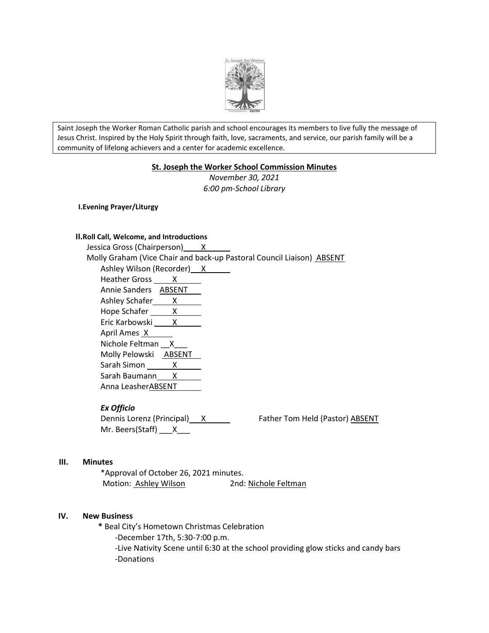

Saint Joseph the Worker Roman Catholic parish and school encourages its members to live fully the message of Jesus Christ. Inspired by the Holy Spirit through faith, love, sacraments, and service, our parish family will be a community of lifelong achievers and a center for academic excellence.

# **St. Joseph the Worker School Commission Minutes**

*November 30, 2021 6:00 pm-School Library*

**I.Evening Prayer/Liturgy**

### **II.Roll Call, Welcome, and Introductions**

Jessica Gross (Chairperson) X Molly Graham (Vice Chair and back-up Pastoral Council Liaison) ABSENT Ashley Wilson (Recorder) X Heather Gross X Annie Sanders **ABSENT** Ashley Schafer X Hope Schafer X Eric Karbowski X April Ames X Nichole Feltman X Molly Pelowski ABSENT Sarah Simon X Sarah Baumann X Anna LeasherABSENT

### *Ex Officio*

Dennis Lorenz (Principal) X Father Tom Held (Pastor) ABSENT Mr. Beers(Staff) X

### **III. Minutes**

\*Approval of October 26, 2021 minutes. Motion: Ashley Wilson 2nd: Nichole Feltman

### **IV. New Business**

 **\*** Beal City's Hometown Christmas Celebration -December 17th, 5:30-7:00 p.m. -Live Nativity Scene until 6:30 at the school providing glow sticks and candy bars -Donations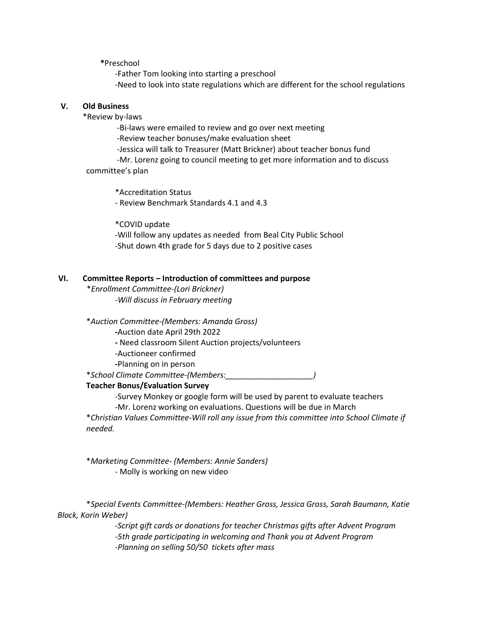**\***Preschool

-Father Tom looking into starting a preschool -Need to look into state regulations which are different for the school regulations

# **V. Old Business**

\*Review by-laws

-Bi-laws were emailed to review and go over next meeting -Review teacher bonuses/make evaluation sheet

-Jessica will talk to Treasurer (Matt Brickner) about teacher bonus fund

-Mr. Lorenz going to council meeting to get more information and to discuss committee's plan

\*Accreditation Status - Review Benchmark Standards 4.1 and 4.3

\*COVID update

-Will follow any updates as needed from Beal City Public School -Shut down 4th grade for 5 days due to 2 positive cases

## **VI. Committee Reports – Introduction of committees and purpose**

\**Enrollment Committee-(Lori Brickner) -Will discuss in February meeting*

\**Auction Committee-(Members: Amanda Gross)*

**-**Auction date April 29th 2022

**-** Need classroom Silent Auction projects/volunteers

-Auctioneer confirmed

**-**Planning on in person

\**School Climate Committee-(Members:\_\_\_\_\_\_\_\_\_\_\_\_\_\_\_\_\_\_\_\_)*

# **Teacher Bonus/Evaluation Survey**

-Survey Monkey or google form will be used by parent to evaluate teachers

-Mr. Lorenz working on evaluations. Questions will be due in March

\**Christian Values Committee*-*Will roll any issue from this committee into School Climate if needed.*

\**Marketing Committee- (Members: Annie Sanders)* - Molly is working on new video

\**Special Events Committee-(Members: Heather Gross, Jessica Gross, Sarah Baumann, Katie Block, Korin Weber)*

> *-Script gift cards or donations for teacher Christmas gifts after Advent Program -5th grade participating in welcoming and Thank you at Advent Program -Planning on selling 50/50 tickets after mass*